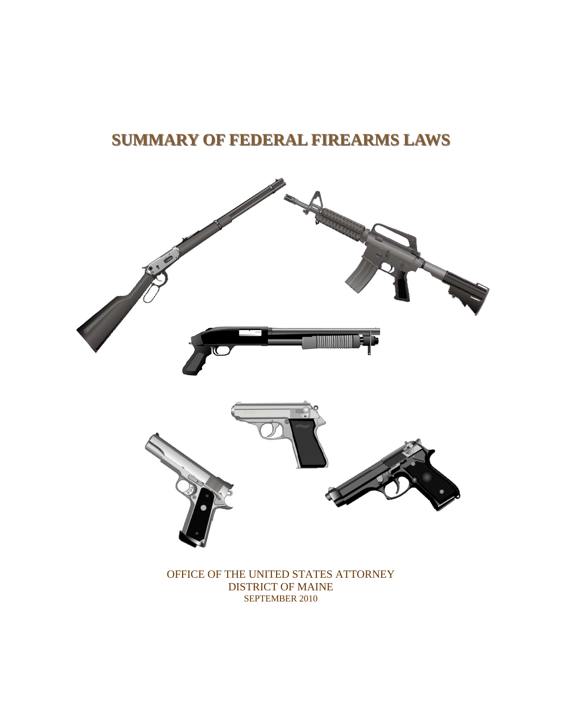# **SUMMARY OF FEDERAL FIREARMS LAWS**



OFFICE OF THE UNITED STATES ATTORNEY DISTRICT OF MAINE SEPTEMBER 2010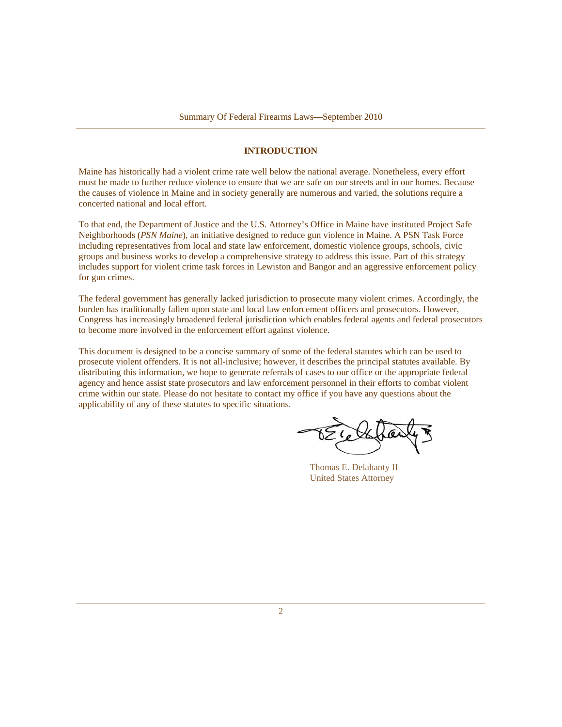#### **INTRODUCTION**

Maine has historically had a violent crime rate well below the national average. Nonetheless, every effort must be made to further reduce violence to ensure that we are safe on our streets and in our homes. Because the causes of violence in Maine and in society generally are numerous and varied, the solutions require a concerted national and local effort.

for gun crimes. To that end, the Department of Justice and the U.S. Attorney's Office in Maine have instituted Project Safe Neighborhoods (*PSN Maine*), an initiative designed to reduce gun violence in Maine. A PSN Task Force including representatives from local and state law enforcement, domestic violence groups, schools, civic groups and business works to develop a comprehensive strategy to address this issue. Part of this strategy includes support for violent crime task forces in Lewiston and Bangor and an aggressive enforcement policy

The federal government has generally lacked jurisdiction to prosecute many violent crimes. Accordingly, the burden has traditionally fallen upon state and local law enforcement officers and prosecutors. However, Congress has increasingly broadened federal jurisdiction which enables federal agents and federal prosecutors to become more involved in the enforcement effort against violence.

 crime within our state. Please do not hesitate to contact my office if you have any questions about the This document is designed to be a concise summary of some of the federal statutes which can be used to prosecute violent offenders. It is not all-inclusive; however, it describes the principal statutes available. By distributing this information, we hope to generate referrals of cases to our office or the appropriate federal agency and hence assist state prosecutors and law enforcement personnel in their efforts to combat violent applicability of any of these statutes to specific situations.

 Thomas E. Delahanty II United States Attorney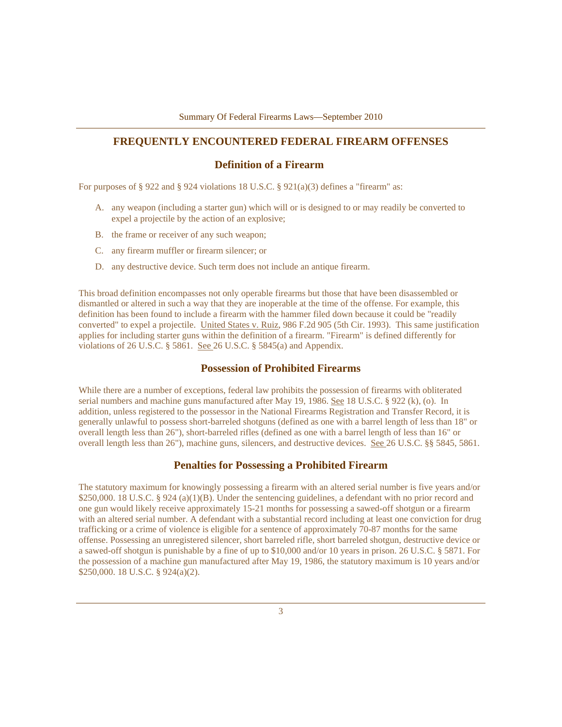## **FREQUENTLY ENCOUNTERED FEDERAL FIREARM OFFENSES**

# **Definition of a Firearm**

For purposes of  $\S 922$  and  $\S 924$  violations 18 U.S.C.  $\S 921(a)(3)$  defines a "firearm" as:

- expel a projectile by the action of an explosive; B. the frame or receiver of any such weapon; A. any weapon (including a starter gun) which will or is designed to or may readily be converted to
- 
- C. any firearm muffler or firearm silencer; or
- D. any destructive device. Such term does not include an antique firearm.

converted" to expel a projectile. United States v. Ruiz, 986 F.2d 905 (5th Cir. 1993). This same justification This broad definition encompasses not only operable firearms but those that have been disassembled or dismantled or altered in such a way that they are inoperable at the time of the offense. For example, this definition has been found to include a firearm with the hammer filed down because it could be "readily applies for including starter guns within the definition of a firearm. "Firearm" is defined differently for violations of 26 U.S.C. § 5861. See 26 U.S.C. § 5845(a) and Appendix.

# **Possession of Prohibited Firearms**

 While there are a number of exceptions, federal law prohibits the possession of firearms with obliterated serial numbers and machine guns manufactured after May 19, 1986. See 18 U.S.C. § 922 (k), (o). In overall length less than 26"), short-barreled rifles (defined as one with a barrel length of less than 16" or addition, unless registered to the possessor in the National Firearms Registration and Transfer Record, it is generally unlawful to possess short-barreled shotguns (defined as one with a barrel length of less than 18" or overall length less than 26"), machine guns, silencers, and destructive devices. See 26 U.S.C. §§ 5845, 5861.

#### **Penalties for Possessing a Prohibited Firearm**

\$250,000. 18 U.S.C. § 924 (a)(1)(B). Under the sentencing guidelines, a defendant with no prior record and trafficking or a crime of violence is eligible for a sentence of approximately 70-87 months for the same offense. Possessing an unregistered silencer, short barreled rifle, short barreled shotgun, destructive device or a sawed-off shotgun is punishable by a fine of up to \$10,000 and/or 10 years in prison. 26 U.S.C. § 5871. For The statutory maximum for knowingly possessing a firearm with an altered serial number is five years and/or one gun would likely receive approximately 15-21 months for possessing a sawed-off shotgun or a firearm with an altered serial number. A defendant with a substantial record including at least one conviction for drug the possession of a machine gun manufactured after May 19, 1986, the statutory maximum is 10 years and/or \$250,000. 18 U.S.C. § 924(a)(2).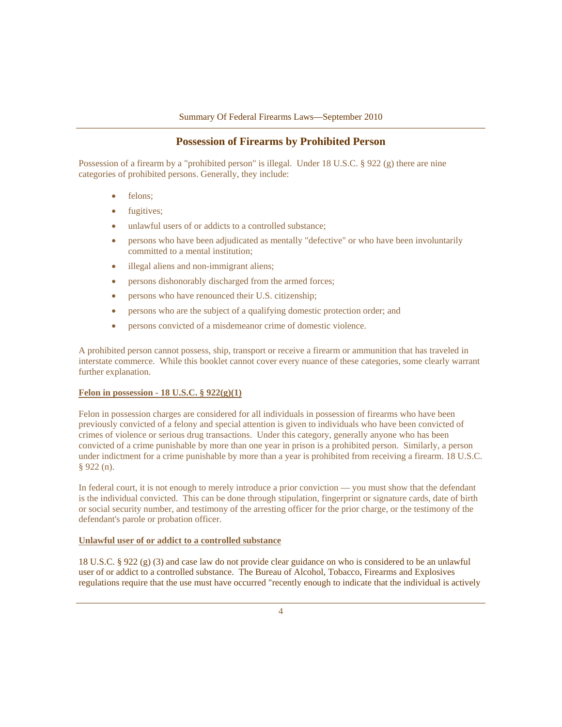## **Possession of Firearms by Prohibited Person**

Possession of a firearm by a "prohibited person" is illegal. Under 18 U.S.C. § 922 (g) there are nine categories of prohibited persons. Generally, they include:

- felons;
- fugitives;
- unlawful users of or addicts to a controlled substance;
- persons who have been adjudicated as mentally "defective" or who have been involuntarily committed to a mental institution;
- illegal aliens and non-immigrant aliens;
- persons dishonorably discharged from the armed forces;
- persons who have renounced their U.S. citizenship;
- persons who are the subject of a qualifying domestic protection order; and
- persons convicted of a misdemeanor crime of domestic violence.

A prohibited person cannot possess, ship, transport or receive a firearm or ammunition that has traveled in interstate commerce. While this booklet cannot cover every nuance of these categories, some clearly warrant further explanation.

#### **Felon in possession - 18 U.S.C. § 922(g)(1)**

 Felon in possession charges are considered for all individuals in possession of firearms who have been previously convicted of a felony and special attention is given to individuals who have been convicted of convicted of a crime punishable by more than one year in prison is a prohibited person. Similarly, a person crimes of violence or serious drug transactions. Under this category, generally anyone who has been under indictment for a crime punishable by more than a year is prohibited from receiving a firearm. 18 U.S.C. § 922 (n).

In federal court, it is not enough to merely introduce a prior conviction — you must show that the defendant is the individual convicted. This can be done through stipulation, fingerprint or signature cards, date of birth or social security number, and testimony of the arresting officer for the prior charge, or the testimony of the defendant's parole or probation officer.

#### **Unlawful user of or addict to a controlled substance**

 18 U.S.C. § 922 (g) (3) and case law do not provide clear guidance on who is considered to be an unlawful user of or addict to a controlled substance. The Bureau of Alcohol, Tobacco, Firearms and Explosives regulations require that the use must have occurred "recently enough to indicate that the individual is actively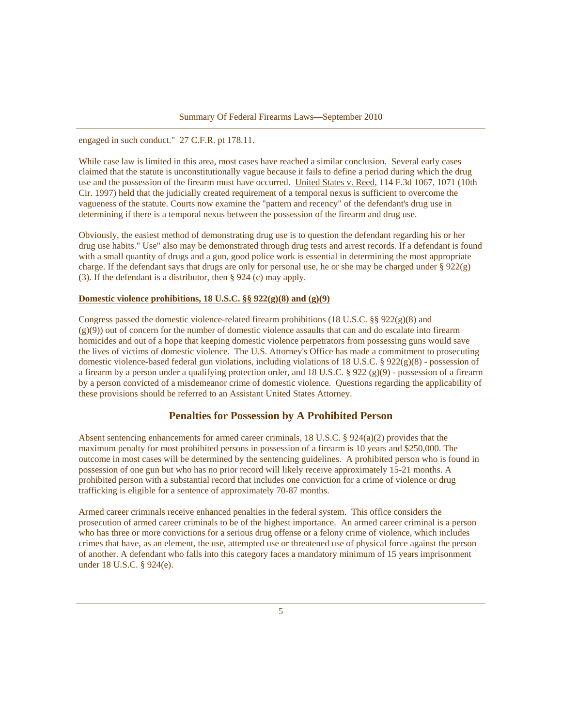Summary Of Federal Firearms Laws—September 2010

engaged in such conduct." 27 C.F.R. pt 178.11.

 Cir. 1997) held that the judicially created requirement of a temporal nexus is sufficient to overcome the vagueness of the statute. Courts now examine the "pattern and recency" of the defendant's drug use in determining if there is a temporal nexus between the possession of the firearm and drug use. While case law is limited in this area, most cases have reached a similar conclusion. Several early cases claimed that the statute is unconstitutionally vague because it fails to define a period during which the drug use and the possession of the firearm must have occurred. United States v. Reed, 114 F.3d 1067, 1071 (10th

 Obviously, the easiest method of demonstrating drug use is to question the defendant regarding his or her drug use habits." Use" also may be demonstrated through drug tests and arrest records. If a defendant is found with a small quantity of drugs and a gun, good police work is essential in determining the most appropriate charge. If the defendant says that drugs are only for personal use, he or she may be charged under  $\S 922(g)$ (3). If the defendant is a distributor, then § 924 (c) may apply.

#### **Domestic violence prohibitions, 18 U.S.C. §§ 922(g)(8) and (g)(9)**

 a firearm by a person under a qualifying protection order, and 18 U.S.C. § 922 (g)(9) - possession of a firearm these provisions should be referred to an Assistant United States Attorney. Congress passed the domestic violence-related firearm prohibitions (18 U.S.C. §§ 922(g)(8) and  $(g(9))$  out of concern for the number of domestic violence assaults that can and do escalate into firearm homicides and out of a hope that keeping domestic violence perpetrators from possessing guns would save the lives of victims of domestic violence. The U.S. Attorney's Office has made a commitment to prosecuting domestic violence-based federal gun violations, including violations of 18 U.S.C. § 922(g)(8) - possession of by a person convicted of a misdemeanor crime of domestic violence. Questions regarding the applicability of

# **Penalties for Possession by A Prohibited Person**

 maximum penalty for most prohibited persons in possession of a firearm is 10 years and \$250,000. The outcome in most cases will be determined by the sentencing guidelines. A prohibited person who is found in Absent sentencing enhancements for armed career criminals, 18 U.S.C.  $\S$  924(a)(2) provides that the possession of one gun but who has no prior record will likely receive approximately 15-21 months. A prohibited person with a substantial record that includes one conviction for a crime of violence or drug trafficking is eligible for a sentence of approximately 70-87 months.

Armed career criminals receive enhanced penalties in the federal system. This office considers the prosecution of armed career criminals to be of the highest importance. An armed career criminal is a person who has three or more convictions for a serious drug offense or a felony crime of violence, which includes crimes that have, as an element, the use, attempted use or threatened use of physical force against the person of another. A defendant who falls into this category faces a mandatory minimum of 15 years imprisonment under 18 U.S.C. § 924(e).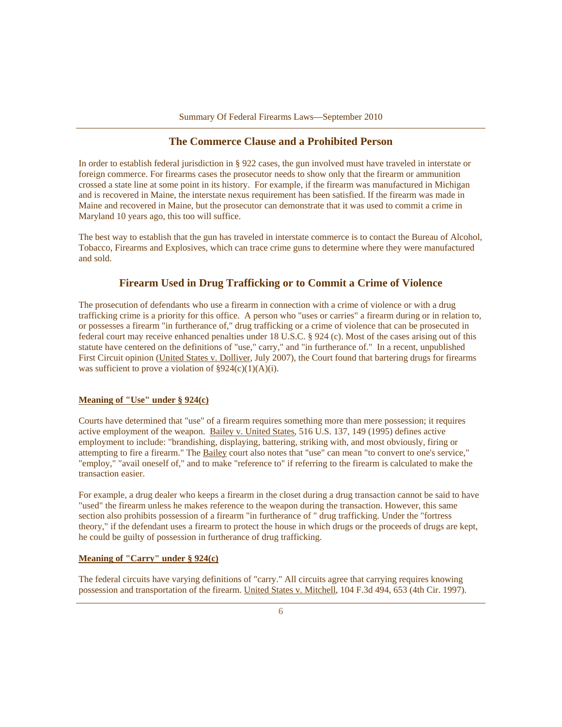# **The Commerce Clause and a Prohibited Person**

In order to establish federal jurisdiction in § 922 cases, the gun involved must have traveled in interstate or foreign commerce. For firearms cases the prosecutor needs to show only that the firearm or ammunition crossed a state line at some point in its history. For example, if the firearm was manufactured in Michigan and is recovered in Maine, the interstate nexus requirement has been satisfied. If the firearm was made in Maine and recovered in Maine, but the prosecutor can demonstrate that it was used to commit a crime in Maryland 10 years ago, this too will suffice.

The best way to establish that the gun has traveled in interstate commerce is to contact the Bureau of Alcohol, Tobacco, Firearms and Explosives, which can trace crime guns to determine where they were manufactured and sold.

# **Firearm Used in Drug Trafficking or to Commit a Crime of Violence**

 trafficking crime is a priority for this office. A person who "uses or carries" a firearm during or in relation to, First Circuit opinion (United States v. Dolliver, July 2007), the Court found that bartering drugs for firearms The prosecution of defendants who use a firearm in connection with a crime of violence or with a drug or possesses a firearm "in furtherance of," drug trafficking or a crime of violence that can be prosecuted in federal court may receive enhanced penalties under 18 U.S.C. § 924 (c). Most of the cases arising out of this statute have centered on the definitions of "use," carry," and "in furtherance of." In a recent, unpublished was sufficient to prove a violation of  $\S 924(c)(1)(A)(i)$ .

#### **Meaning of "Use" under § 924(c)**

active employment of the weapon. Bailey v. United States, 516 U.S. 137, 149 (1995) defines active employment to include: "brandishing, displaying, battering, striking with, and most obviously, firing or Courts have determined that "use" of a firearm requires something more than mere possession; it requires attempting to fire a firearm." The Bailey court also notes that "use" can mean "to convert to one's service," "employ," "avail oneself of," and to make "reference to" if referring to the firearm is calculated to make the transaction easier.

 For example, a drug dealer who keeps a firearm in the closet during a drug transaction cannot be said to have "used" the firearm unless he makes reference to the weapon during the transaction. However, this same he could be guilty of possession in furtherance of drug trafficking. section also prohibits possession of a firearm "in furtherance of " drug trafficking. Under the "fortress theory," if the defendant uses a firearm to protect the house in which drugs or the proceeds of drugs are kept,

#### **Meaning of "Carry" under § 924(c)**

The federal circuits have varying definitions of "carry." All circuits agree that carrying requires knowing possession and transportation of the firearm. United States v. Mitchell, 104 F.3d 494, 653 (4th Cir. 1997).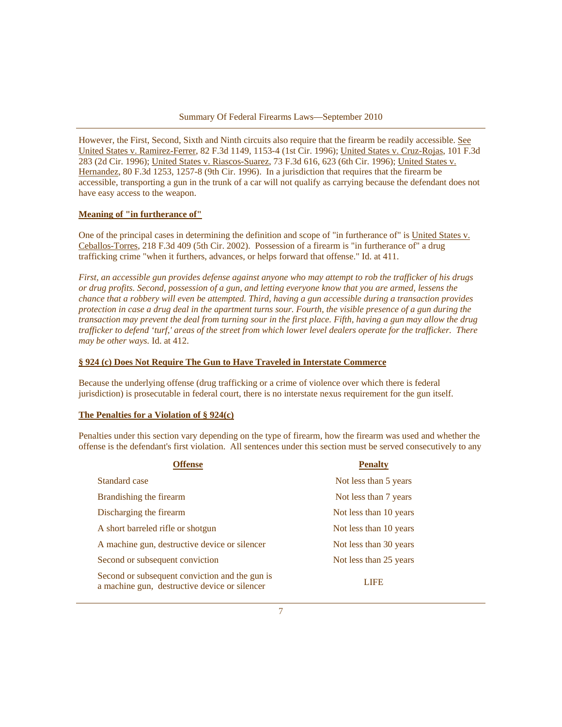United States v. Ramirez-Ferrer, 82 F.3d 1149, 1153-4 (1st Cir. 1996); United States v. Cruz-Rojas, 101 F.3d 283 (2d Cir. 1996); United States v. Riascos-Suarez, 73 F.3d 616, 623 (6th Cir. 1996); United States v. Hernandez, 80 F.3d 1253, 1257-8 (9th Cir. 1996). In a jurisdiction that requires that the firearm be However, the First, Second, Sixth and Ninth circuits also require that the firearm be readily accessible. See accessible, transporting a gun in the trunk of a car will not qualify as carrying because the defendant does not have easy access to the weapon.

#### **Meaning of "in furtherance of"**

Ceballos-Torres, 218 F.3d 409 (5th Cir. 2002). Possession of a firearm is "in furtherance of" a drug One of the principal cases in determining the definition and scope of "in furtherance of" is United States v. trafficking crime "when it furthers, advances, or helps forward that offense." Id. at 411.

 *or drug profits. Second, possession of a gun, and letting everyone know that you are armed, lessens the transaction may prevent the deal from turning sour in the first place. Fifth, having a gun may allow the drug First, an accessible gun provides defense against anyone who may attempt to rob the trafficker of his drugs chance that a robbery will even be attempted. Third, having a gun accessible during a transaction provides protection in case a drug deal in the apartment turns sour. Fourth, the visible presence of a gun during the trafficker to defend 'turf,' areas of the street from which lower level dealers operate for the trafficker. There may be other ways.* Id. at 412.

#### **§ 924 (c) Does Not Require The Gun to Have Traveled in Interstate Commerce**

Because the underlying offense (drug trafficking or a crime of violence over which there is federal jurisdiction) is prosecutable in federal court, there is no interstate nexus requirement for the gun itself.

#### **The Penalties for a Violation of § 924(c)**

Penalties under this section vary depending on the type of firearm, how the firearm was used and whether the offense is the defendant's first violation. All sentences under this section must be served consecutively to any

| <b>Offense</b>                                                                                  | <b>Penalty</b>         |
|-------------------------------------------------------------------------------------------------|------------------------|
| Standard case                                                                                   | Not less than 5 years  |
| Brandishing the firearm                                                                         | Not less than 7 years  |
| Discharging the firearm                                                                         | Not less than 10 years |
| A short barreled rifle or shotgun                                                               | Not less than 10 years |
| A machine gun, destructive device or silencer                                                   | Not less than 30 years |
| Second or subsequent conviction                                                                 | Not less than 25 years |
| Second or subsequent conviction and the gun is<br>a machine gun, destructive device or silencer | <b>LIFE</b>            |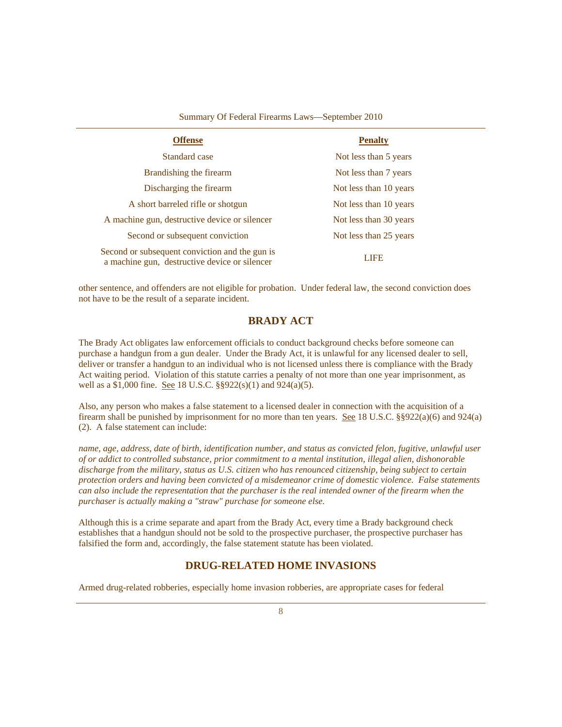| Summary Of Federal Firearms Laws—September 2010 |  |  |
|-------------------------------------------------|--|--|
|-------------------------------------------------|--|--|

| <b>Offense</b>                                                                                  | <b>Penalty</b>         |
|-------------------------------------------------------------------------------------------------|------------------------|
| Standard case                                                                                   | Not less than 5 years  |
| Brandishing the firearm                                                                         | Not less than 7 years  |
| Discharging the firearm                                                                         | Not less than 10 years |
| A short barreled rifle or shotgun                                                               | Not less than 10 years |
| A machine gun, destructive device or silencer                                                   | Not less than 30 years |
| Second or subsequent conviction                                                                 | Not less than 25 years |
| Second or subsequent conviction and the gun is<br>a machine gun, destructive device or silencer | <b>LIFE</b>            |

 not have to be the result of a separate incident. other sentence, and offenders are not eligible for probation. Under federal law, the second conviction does

# **BRADY ACT**

 purchase a handgun from a gun dealer. Under the Brady Act, it is unlawful for any licensed dealer to sell, The Brady Act obligates law enforcement officials to conduct background checks before someone can deliver or transfer a handgun to an individual who is not licensed unless there is compliance with the Brady Act waiting period. Violation of this statute carries a penalty of not more than one year imprisonment, as well as a \$1,000 fine. See 18 U.S.C. §§922(s)(1) and 924(a)(5).

Also, any person who makes a false statement to a licensed dealer in connection with the acquisition of a firearm shall be punished by imprisonment for no more than ten years. See 18 U.S.C. §§922(a)(6) and 924(a) (2). A false statement can include:

 *of or addict to controlled substance, prior commitment to a mental institution, illegal alien, dishonorable name, age, address, date of birth, identification number, and status as convicted felon, fugitive, unlawful user discharge from the military, status as U.S. citizen who has renounced citizenship, being subject to certain protection orders and having been convicted of a misdemeanor crime of domestic violence. False statements can also include the representation that the purchaser is the real intended owner of the firearm when the purchaser is actually making a "straw" purchase for someone else.* 

Although this is a crime separate and apart from the Brady Act, every time a Brady background check establishes that a handgun should not be sold to the prospective purchaser, the prospective purchaser has falsified the form and, accordingly, the false statement statute has been violated.

# **DRUG-RELATED HOME INVASIONS**

Armed drug-related robberies, especially home invasion robberies, are appropriate cases for federal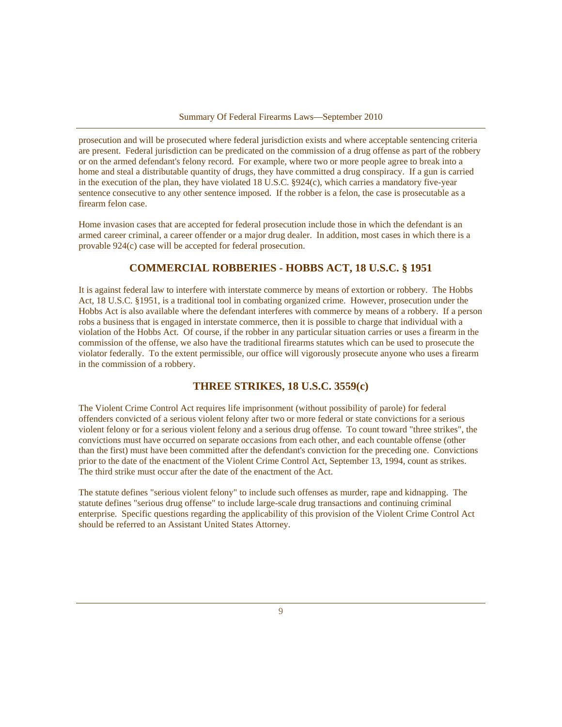prosecution and will be prosecuted where federal jurisdiction exists and where acceptable sentencing criteria are present. Federal jurisdiction can be predicated on the commission of a drug offense as part of the robbery or on the armed defendant's felony record. For example, where two or more people agree to break into a home and steal a distributable quantity of drugs, they have committed a drug conspiracy. If a gun is carried in the execution of the plan, they have violated 18 U.S.C. §924(c), which carries a mandatory five-year sentence consecutive to any other sentence imposed. If the robber is a felon, the case is prosecutable as a firearm felon case.

Home invasion cases that are accepted for federal prosecution include those in which the defendant is an armed career criminal, a career offender or a major drug dealer. In addition, most cases in which there is a provable 924(c) case will be accepted for federal prosecution.

## **COMMERCIAL ROBBERIES - HOBBS ACT, 18 U.S.C. § 1951**

 Act, 18 U.S.C. §1951, is a traditional tool in combating organized crime. However, prosecution under the It is against federal law to interfere with interstate commerce by means of extortion or robbery. The Hobbs Hobbs Act is also available where the defendant interferes with commerce by means of a robbery. If a person robs a business that is engaged in interstate commerce, then it is possible to charge that individual with a violation of the Hobbs Act. Of course, if the robber in any particular situation carries or uses a firearm in the commission of the offense, we also have the traditional firearms statutes which can be used to prosecute the violator federally. To the extent permissible, our office will vigorously prosecute anyone who uses a firearm in the commission of a robbery.

# **THREE STRIKES, 18 U.S.C. 3559(c)**

 violent felony or for a serious violent felony and a serious drug offense. To count toward "three strikes", the The Violent Crime Control Act requires life imprisonment (without possibility of parole) for federal offenders convicted of a serious violent felony after two or more federal or state convictions for a serious convictions must have occurred on separate occasions from each other, and each countable offense (other than the first) must have been committed after the defendant's conviction for the preceding one. Convictions prior to the date of the enactment of the Violent Crime Control Act, September 13, 1994, count as strikes. The third strike must occur after the date of the enactment of the Act.

The statute defines "serious violent felony" to include such offenses as murder, rape and kidnapping. The statute defines "serious drug offense" to include large-scale drug transactions and continuing criminal enterprise. Specific questions regarding the applicability of this provision of the Violent Crime Control Act should be referred to an Assistant United States Attorney.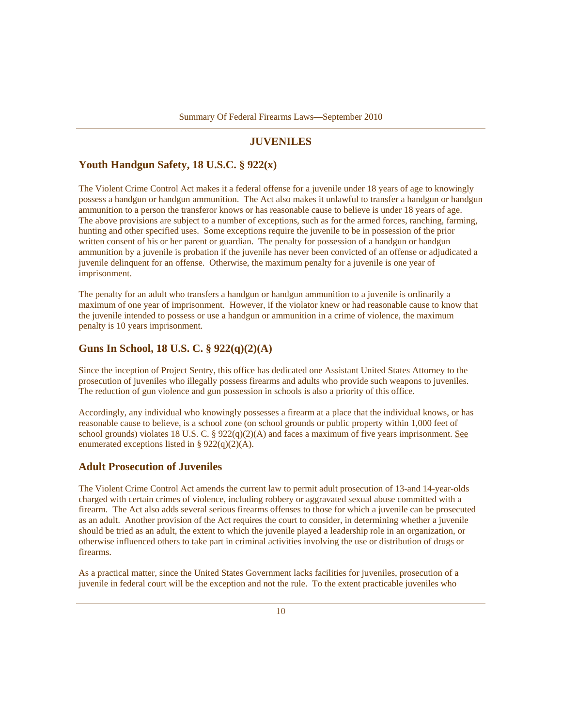# **JUVENILES**

## **Youth Handgun Safety, 18 U.S.C. § 922(x)**

 possess a handgun or handgun ammunition. The Act also makes it unlawful to transfer a handgun or handgun juvenile delinquent for an offense. Otherwise, the maximum penalty for a juvenile is one year of The Violent Crime Control Act makes it a federal offense for a juvenile under 18 years of age to knowingly ammunition to a person the transferor knows or has reasonable cause to believe is under 18 years of age. The above provisions are subject to a number of exceptions, such as for the armed forces, ranching, farming, hunting and other specified uses. Some exceptions require the juvenile to be in possession of the prior written consent of his or her parent or guardian. The penalty for possession of a handgun or handgun ammunition by a juvenile is probation if the juvenile has never been convicted of an offense or adjudicated a imprisonment.

 maximum of one year of imprisonment. However, if the violator knew or had reasonable cause to know that the juvenile intended to possess or use a handgun or ammunition in a crime of violence, the maximum The penalty for an adult who transfers a handgun or handgun ammunition to a juvenile is ordinarily a penalty is 10 years imprisonment.

# **Guns In School, 18 U.S. C. § 922(q)(2)(A)**

 prosecution of juveniles who illegally possess firearms and adults who provide such weapons to juveniles. The reduction of gun violence and gun possession in schools is also a priority of this office. Since the inception of Project Sentry, this office has dedicated one Assistant United States Attorney to the

 Accordingly, any individual who knowingly possesses a firearm at a place that the individual knows, or has reasonable cause to believe, is a school zone (on school grounds or public property within 1,000 feet of school grounds) violates 18 U.S. C.  $\S 922(q)(2)(A)$  and faces a maximum of five years imprisonment. See enumerated exceptions listed in § 922(q)(2)(A).

## **Adult Prosecution of Juveniles**

 as an adult. Another provision of the Act requires the court to consider, in determining whether a juvenile otherwise influenced others to take part in criminal activities involving the use or distribution of drugs or The Violent Crime Control Act amends the current law to permit adult prosecution of 13-and 14-year-olds charged with certain crimes of violence, including robbery or aggravated sexual abuse committed with a firearm. The Act also adds several serious firearms offenses to those for which a juvenile can be prosecuted should be tried as an adult, the extent to which the juvenile played a leadership role in an organization, or firearms.

As a practical matter, since the United States Government lacks facilities for juveniles, prosecution of a juvenile in federal court will be the exception and not the rule. To the extent practicable juveniles who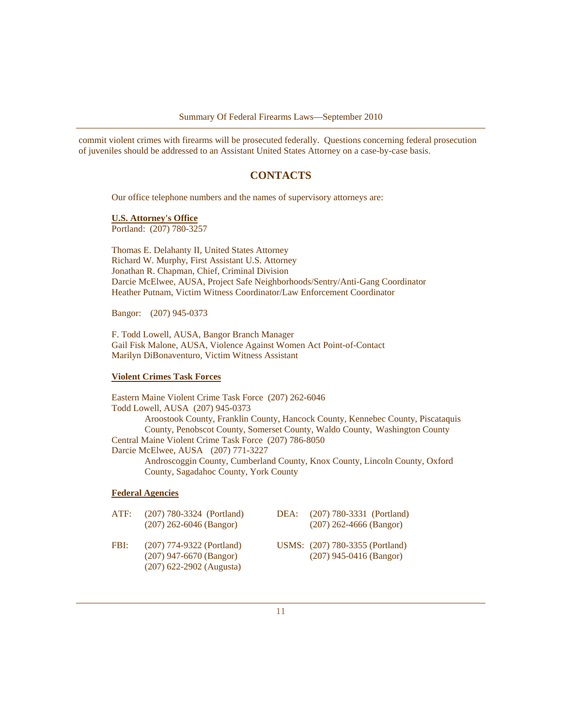commit violent crimes with firearms will be prosecuted federally. Questions concerning federal prosecution of juveniles should be addressed to an Assistant United States Attorney on a case-by-case basis.

# **CONTACTS**

Our office telephone numbers and the names of supervisory attorneys are:

#### **U.S. Attorney's Office**

Portland: (207) 780-3257

Thomas E. Delahanty II, United States Attorney Richard W. Murphy, First Assistant U.S. Attorney Jonathan R. Chapman, Chief, Criminal Division Darcie McElwee, AUSA, Project Safe Neighborhoods/Sentry/Anti-Gang Coordinator Heather Putnam, Victim Witness Coordinator/Law Enforcement Coordinator

Bangor: (207) 945-0373

F. Todd Lowell, AUSA, Bangor Branch Manager Gail Fisk Malone, AUSA, Violence Against Women Act Point-of-Contact Marilyn DiBonaventuro, Victim Witness Assistant

#### **Violent Crimes Task Forces**

Eastern Maine Violent Crime Task Force (207) 262-6046 Todd Lowell, AUSA (207) 945-0373 Aroostook County, Franklin County, Hancock County, Kennebec County, Piscataquis County, Penobscot County, Somerset County, Waldo County, Washington County Central Maine Violent Crime Task Force (207) 786-8050 Darcie McElwee, AUSA (207) 771-3227 Androscoggin County, Cumberland County, Knox County, Lincoln County, Oxford County, Sagadahoc County, York County

#### **Federal Agencies**

| ATF: | $(207)$ 780-3324 (Portland)<br>$(207)$ 262-6046 (Bangor)                               | DEA: (207) 780-3331 (Portland)<br>$(207)$ 262-4666 (Bangor)  |
|------|----------------------------------------------------------------------------------------|--------------------------------------------------------------|
| FBI: | $(207)$ 774-9322 (Portland)<br>$(207)$ 947-6670 (Bangor)<br>$(207)$ 622-2902 (Augusta) | USMS: (207) 780-3355 (Portland)<br>$(207)$ 945-0416 (Bangor) |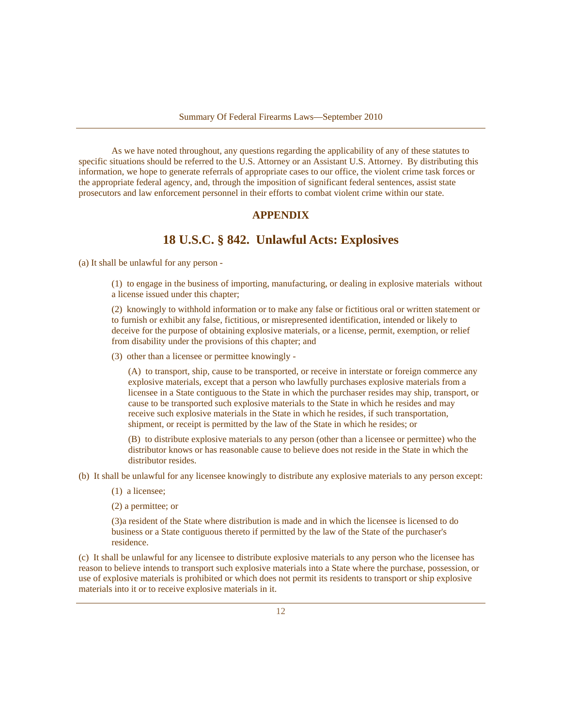information, we hope to generate referrals of appropriate cases to our office, the violent crime task forces or As we have noted throughout, any questions regarding the applicability of any of these statutes to specific situations should be referred to the U.S. Attorney or an Assistant U.S. Attorney. By distributing this the appropriate federal agency, and, through the imposition of significant federal sentences, assist state prosecutors and law enforcement personnel in their efforts to combat violent crime within our state.

# **APPENDIX**

# **18 U.S.C. § 842. Unlawful Acts: Explosives**

(a) It shall be unlawful for any person -

(1) to engage in the business of importing, manufacturing, or dealing in explosive materials without a license issued under this chapter;

 (2) knowingly to withhold information or to make any false or fictitious oral or written statement or to furnish or exhibit any false, fictitious, or misrepresented identification, intended or likely to from disability under the provisions of this chapter; and (3) other than a licensee or permittee knowingly deceive for the purpose of obtaining explosive materials, or a license, permit, exemption, or relief

(3) other than a licensee or permittee knowingly -

shipment, or receipt is permitted by the law of the State in which he resides; or (A) to transport, ship, cause to be transported, or receive in interstate or foreign commerce any explosive materials, except that a person who lawfully purchases explosive materials from a licensee in a State contiguous to the State in which the purchaser resides may ship, transport, or cause to be transported such explosive materials to the State in which he resides and may receive such explosive materials in the State in which he resides, if such transportation,

 distributor knows or has reasonable cause to believe does not reside in the State in which the distributor resides. distributor resides.<br>(b) It shall be unlawful for any licensee knowingly to distribute any explosive materials to any person except: (B) to distribute explosive materials to any person (other than a licensee or permittee) who the

- - (1) a licensee;
	- (2) a permittee; or

 (3)a resident of the State where distribution is made and in which the licensee is licensed to do business or a State contiguous thereto if permitted by the law of the State of the purchaser's residence.

 use of explosive materials is prohibited or which does not permit its residents to transport or ship explosive (c) It shall be unlawful for any licensee to distribute explosive materials to any person who the licensee has reason to believe intends to transport such explosive materials into a State where the purchase, possession, or materials into it or to receive explosive materials in it.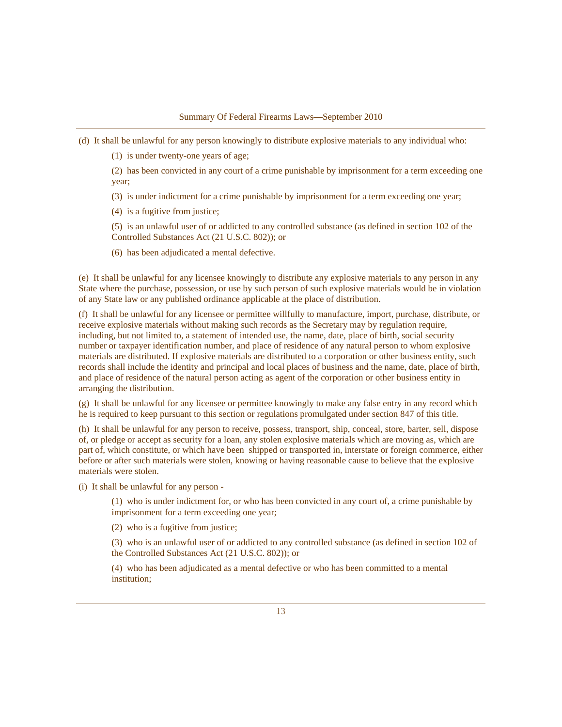- (d) It shall be unlawful for any person knowingly to distribute explosive materials to any individual who:
	- (1) is under twenty-one years of age;

(2) has been convicted in any court of a crime punishable by imprisonment for a term exceeding one year;

- (3) is under indictment for a crime punishable by imprisonment for a term exceeding one year;
- (4) is a fugitive from justice;

 (5) is an unlawful user of or addicted to any controlled substance (as defined in section 102 of the Controlled Substances Act (21 U.S.C. 802)); or

(6) has been adjudicated a mental defective.

(e) It shall be unlawful for any licensee knowingly to distribute any explosive materials to any person in any State where the purchase, possession, or use by such person of such explosive materials would be in violation of any State law or any published ordinance applicable at the place of distribution.

(f) It shall be unlawful for any licensee or permittee willfully to manufacture, import, purchase, distribute, or receive explosive materials without making such records as the Secretary may by regulation require, including, but not limited to, a statement of intended use, the name, date, place of birth, social security number or taxpayer identification number, and place of residence of any natural person to whom explosive materials are distributed. If explosive materials are distributed to a corporation or other business entity, such records shall include the identity and principal and local places of business and the name, date, place of birth, and place of residence of the natural person acting as agent of the corporation or other business entity in arranging the distribution.

(g) It shall be unlawful for any licensee or permittee knowingly to make any false entry in any record which he is required to keep pursuant to this section or regulations promulgated under section 847 of this title.

 part of, which constitute, or which have been shipped or transported in, interstate or foreign commerce, either before or after such materials were stolen, knowing or having reasonable cause to believe that the explosive materials were stolen. (h) It shall be unlawful for any person to receive, possess, transport, ship, conceal, store, barter, sell, dispose of, or pledge or accept as security for a loan, any stolen explosive materials which are moving as, which are

(i) It shall be unlawful for any person -

 (1) who is under indictment for, or who has been convicted in any court of, a crime punishable by imprisonment for a term exceeding one year;

(2) who is a fugitive from justice;

 (3) who is an unlawful user of or addicted to any controlled substance (as defined in section 102 of the Controlled Substances Act (21 U.S.C. 802)); or

institution; (4) who has been adjudicated as a mental defective or who has been committed to a mental institution;<br>13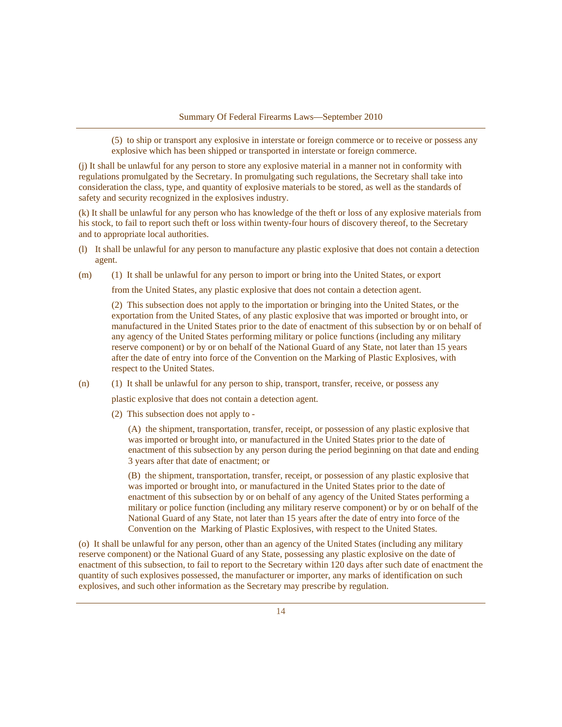(5) to ship or transport any explosive in interstate or foreign commerce or to receive or possess any explosive which has been shipped or transported in interstate or foreign commerce.

(j) It shall be unlawful for any person to store any explosive material in a manner not in conformity with regulations promulgated by the Secretary. In promulgating such regulations, the Secretary shall take into consideration the class, type, and quantity of explosive materials to be stored, as well as the standards of safety and security recognized in the explosives industry.

 (k) It shall be unlawful for any person who has knowledge of the theft or loss of any explosive materials from his stock, to fail to report such theft or loss within twenty-four hours of discovery thereof, to the Secretary and to appropriate local authorities.

- (l) It shall be unlawful for any person to manufacture any plastic explosive that does not contain a detection agent.
- (m) (1) It shall be unlawful for any person to import or bring into the United States, or export

from the United States, any plastic explosive that does not contain a detection agent.

 exportation from the United States, of any plastic explosive that was imported or brought into, or manufactured in the United States prior to the date of enactment of this subsection by or on behalf of any agency of the United States performing military or police functions (including any military reserve component) or by or on behalf of the National Guard of any State, not later than 15 years (2) This subsection does not apply to the importation or bringing into the United States, or the after the date of entry into force of the Convention on the Marking of Plastic Explosives, with respect to the United States.

(n) (1) It shall be unlawful for any person to ship, transport, transfer, receive, or possess any

plastic explosive that does not contain a detection agent. (2) This subsection does not apply to -

(2) This subsection does not apply to -

 was imported or brought into, or manufactured in the United States prior to the date of enactment of this subsection by any person during the period beginning on that date and ending (A) the shipment, transportation, transfer, receipt, or possession of any plastic explosive that 3 years after that date of enactment; or

 was imported or brought into, or manufactured in the United States prior to the date of enactment of this subsection by or on behalf of any agency of the United States performing a National Guard of any State, not later than 15 years after the date of entry into force of the (B) the shipment, transportation, transfer, receipt, or possession of any plastic explosive that military or police function (including any military reserve component) or by or on behalf of the Convention on the Marking of Plastic Explosives, with respect to the United States.

 reserve component) or the National Guard of any State, possessing any plastic explosive on the date of quantity of such explosives possessed, the manufacturer or importer, any marks of identification on such (o) It shall be unlawful for any person, other than an agency of the United States (including any military enactment of this subsection, to fail to report to the Secretary within 120 days after such date of enactment the explosives, and such other information as the Secretary may prescribe by regulation.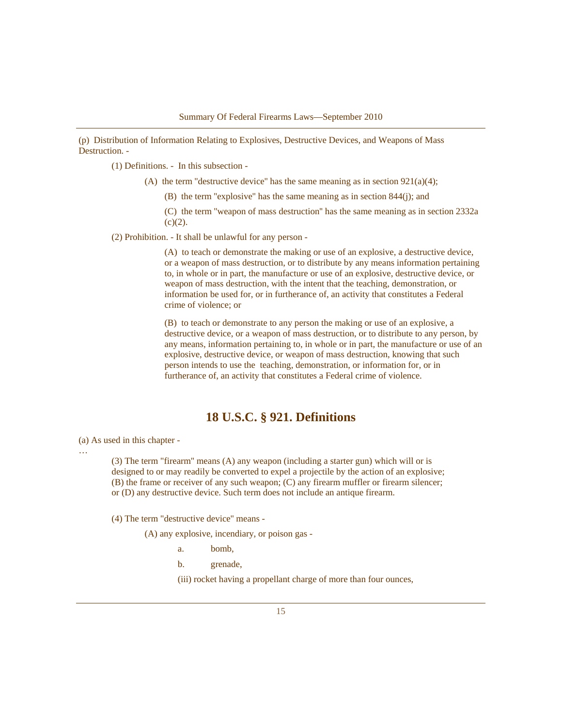(p) Distribution of Information Relating to Explosives, Destructive Devices, and Weapons of Mass Destruction. -

(1) Definitions. - In this subsection -

- (A) the term "destructive device" has the same meaning as in section  $921(a)(4)$ ;
	- (B) the term ''explosive'' has the same meaning as in section 844(j); and

(C) the term ''weapon of mass destruction'' has the same meaning as in section 2332a  $(c)(2)$ .

(2) Prohibition. - It shall be unlawful for any person -

 or a weapon of mass destruction, or to distribute by any means information pertaining to, in whole or in part, the manufacture or use of an explosive, destructive device, or crime of violence; or (A) to teach or demonstrate the making or use of an explosive, a destructive device, weapon of mass destruction, with the intent that the teaching, demonstration, or information be used for, or in furtherance of, an activity that constitutes a Federal

 destructive device, or a weapon of mass destruction, or to distribute to any person, by (B) to teach or demonstrate to any person the making or use of an explosive, a any means, information pertaining to, in whole or in part, the manufacture or use of an explosive, destructive device, or weapon of mass destruction, knowing that such person intends to use the teaching, demonstration, or information for, or in furtherance of, an activity that constitutes a Federal crime of violence.

# **18 U.S.C. § 921. Definitions**

(a) As used in this chapter -

…

(3) The term "firearm'' means (A) any weapon (including a starter gun) which will or is designed to or may readily be converted to expel a projectile by the action of an explosive; (B) the frame or receiver of any such weapon; (C) any firearm muffler or firearm silencer; or (D) any destructive device. Such term does not include an antique firearm.

(4) The term "destructive device'' means -

(A) any explosive, incendiary, or poison gas -

- a. bomb,
- $\mathbf{b}$ . grenade,
- (iii) rocket having a propellant charge of more than four ounces,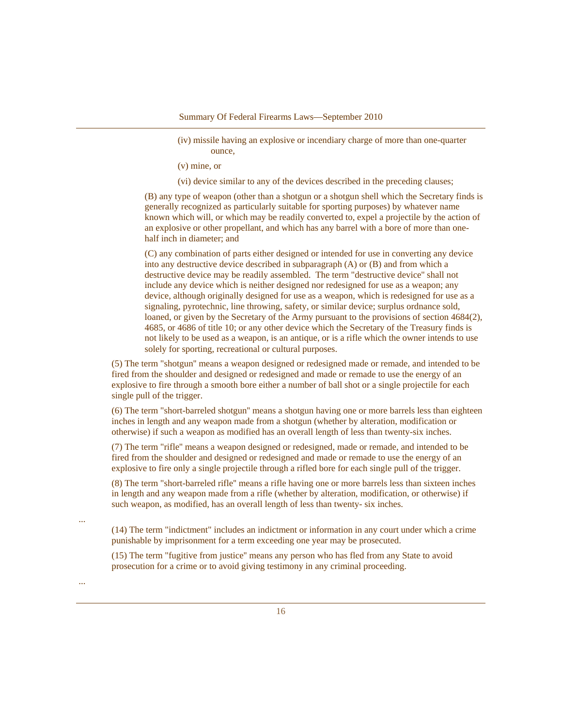- (iv) missile having an explosive or incendiary charge of more than one-quarter ounce,
- (v) mine, or
- (vi) device similar to any of the devices described in the preceding clauses;

 (B) any type of weapon (other than a shotgun or a shotgun shell which the Secretary finds is known which will, or which may be readily converted to, expel a projectile by the action of an explosive or other propellant, and which has any barrel with a bore of more than onegenerally recognized as particularly suitable for sporting purposes) by whatever name half inch in diameter; and

 (C) any combination of parts either designed or intended for use in converting any device 4685, or 4686 of title 10; or any other device which the Secretary of the Treasury finds is into any destructive device described in subparagraph (A) or (B) and from which a destructive device may be readily assembled. The term "destructive device'' shall not include any device which is neither designed nor redesigned for use as a weapon; any device, although originally designed for use as a weapon, which is redesigned for use as a signaling, pyrotechnic, line throwing, safety, or similar device; surplus ordnance sold, loaned, or given by the Secretary of the Army pursuant to the provisions of section 4684(2), not likely to be used as a weapon, is an antique, or is a rifle which the owner intends to use solely for sporting, recreational or cultural purposes.

(5) The term "shotgun'' means a weapon designed or redesigned made or remade, and intended to be fired from the shoulder and designed or redesigned and made or remade to use the energy of an explosive to fire through a smooth bore either a number of ball shot or a single projectile for each single pull of the trigger.

(6) The term "short-barreled shotgun'' means a shotgun having one or more barrels less than eighteen inches in length and any weapon made from a shotgun (whether by alteration, modification or otherwise) if such a weapon as modified has an overall length of less than twenty-six inches.

(7) The term "rifle'' means a weapon designed or redesigned, made or remade, and intended to be fired from the shoulder and designed or redesigned and made or remade to use the energy of an explosive to fire only a single projectile through a rifled bore for each single pull of the trigger.

(8) The term "short-barreled rifle'' means a rifle having one or more barrels less than sixteen inches in length and any weapon made from a rifle (whether by alteration, modification, or otherwise) if such weapon, as modified, has an overall length of less than twenty- six inches.

 (14) The term "indictment" includes an indictment or information in any court under which a crime punishable by imprisonment for a term exceeding one year may be prosecuted.

 (15) The term "fugitive from justice'' means any person who has fled from any State to avoid prosecution for a crime or to avoid giving testimony in any criminal proceeding.

...

...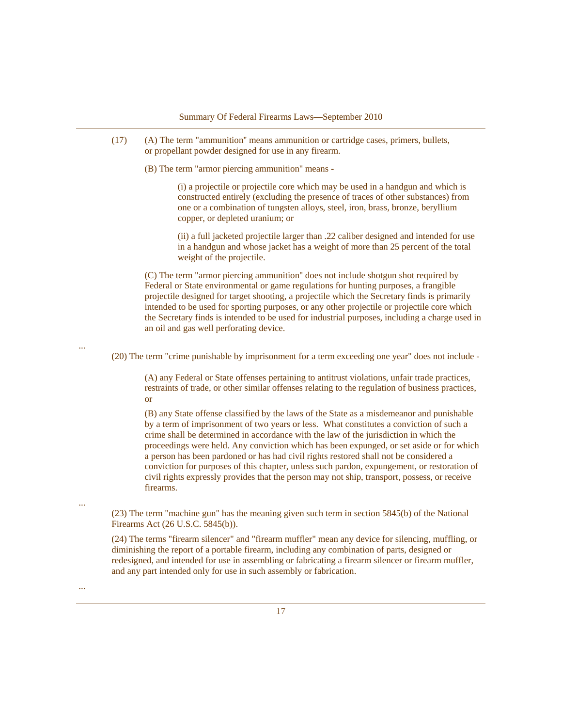- (17) (A) The term "ammunition'' means ammunition or cartridge cases, primers, bullets, or propellant powder designed for use in any firearm.
	- (B) The term "armor piercing ammunition'' means -

 copper, or depleted uranium; or (i) a projectile or projectile core which may be used in a handgun and which is constructed entirely (excluding the presence of traces of other substances) from one or a combination of tungsten alloys, steel, iron, brass, bronze, beryllium

 in a handgun and whose jacket has a weight of more than 25 percent of the total (ii) a full jacketed projectile larger than .22 caliber designed and intended for use weight of the projectile.

 (C) The term "armor piercing ammunition'' does not include shotgun shot required by intended to be used for sporting purposes, or any other projectile or projectile core which the Secretary finds is intended to be used for industrial purposes, including a charge used in an oil and gas well perforating device. Federal or State environmental or game regulations for hunting purposes, a frangible projectile designed for target shooting, a projectile which the Secretary finds is primarily

(20) The term "crime punishable by imprisonment for a term exceeding one year" does not include -

**or** (A) any Federal or State offenses pertaining to antitrust violations, unfair trade practices, restraints of trade, or other similar offenses relating to the regulation of business practices,

 proceedings were held. Any conviction which has been expunged, or set aside or for which (B) any State offense classified by the laws of the State as a misdemeanor and punishable by a term of imprisonment of two years or less. What constitutes a conviction of such a crime shall be determined in accordance with the law of the jurisdiction in which the a person has been pardoned or has had civil rights restored shall not be considered a conviction for purposes of this chapter, unless such pardon, expungement, or restoration of civil rights expressly provides that the person may not ship, transport, possess, or receive firearms.

(23) The term "machine gun" has the meaning given such term in section 5845(b) of the National Firearms Act (26 U.S.C. 5845(b)).

 diminishing the report of a portable firearm, including any combination of parts, designed or (24) The terms "firearm silencer" and "firearm muffler" mean any device for silencing, muffling, or redesigned, and intended for use in assembling or fabricating a firearm silencer or firearm muffler, and any part intended only for use in such assembly or fabrication.

...

...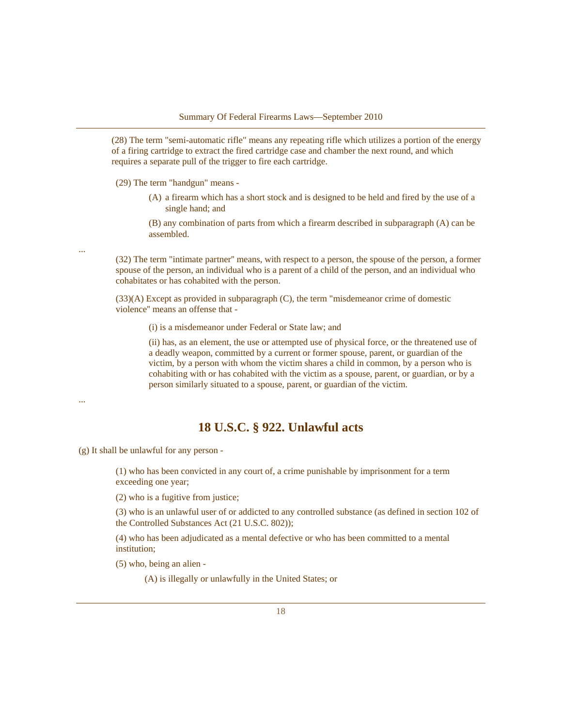(28) The term "semi-automatic rifle" means any repeating rifle which utilizes a portion of the energy of a firing cartridge to extract the fired cartridge case and chamber the next round, and which requires a separate pull of the trigger to fire each cartridge.

(29) The term "handgun" means -

 single hand; and (A) a firearm which has a short stock and is designed to be held and fired by the use of a

 (B) any combination of parts from which a firearm described in subparagraph (A) can be assembled.

 spouse of the person, an individual who is a parent of a child of the person, and an individual who (32) The term "intimate partner'' means, with respect to a person, the spouse of the person, a former cohabitates or has cohabited with the person.

 violence'' means an offense that - (33)(A) Except as provided in subparagraph (C), the term "misdemeanor crime of domestic

(i) is a misdemeanor under Federal or State law; and

 victim, by a person with whom the victim shares a child in common, by a person who is cohabiting with or has cohabited with the victim as a spouse, parent, or guardian, or by a (ii) has, as an element, the use or attempted use of physical force, or the threatened use of a deadly weapon, committed by a current or former spouse, parent, or guardian of the person similarly situated to a spouse, parent, or guardian of the victim.

# ...

...

# **18 U.S.C. § 922. Unlawful acts**

(g) It shall be unlawful for any person -

(1) who has been convicted in any court of, a crime punishable by imprisonment for a term exceeding one year;

(2) who is a fugitive from justice;

 (3) who is an unlawful user of or addicted to any controlled substance (as defined in section 102 of the Controlled Substances Act (21 U.S.C. 802));

(4) who has been adjudicated as a mental defective or who has been committed to a mental institution;

(5) who, being an alien -

(A) is illegally or unlawfully in the United States; or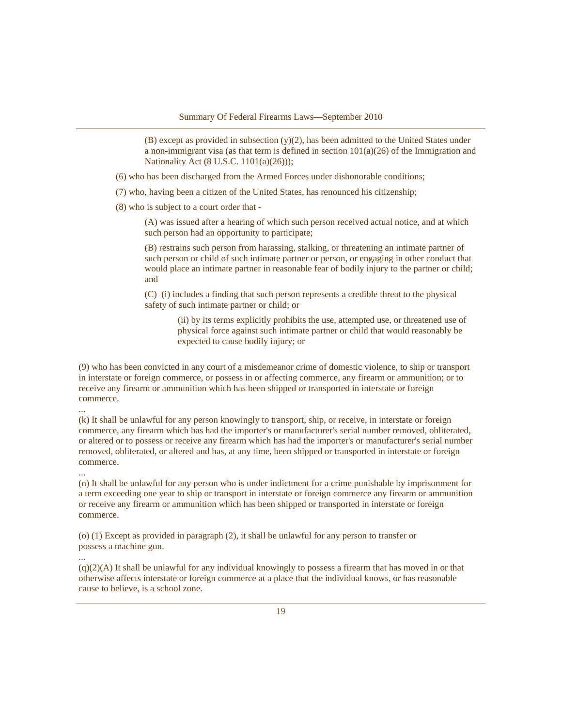$(B)$  except as provided in subsection  $(y)(2)$ , has been admitted to the United States under a non-immigrant visa (as that term is defined in section  $101(a)(26)$  of the Immigration and Nationality Act (8 U.S.C. 1101(a)(26)));

- (6) who has been discharged from the Armed Forces under dishonorable conditions;
- (7) who, having been a citizen of the United States, has renounced his citizenship;
- (8) who is subject to a court order that -

...

...

...

 such person had an opportunity to participate; (A) was issued after a hearing of which such person received actual notice, and at which

 (B) restrains such person from harassing, stalking, or threatening an intimate partner of such person or child of such intimate partner or person, or engaging in other conduct that would place an intimate partner in reasonable fear of bodily injury to the partner or child; and

 (C) (i) includes a finding that such person represents a credible threat to the physical safety of such intimate partner or child; or

> (ii) by its terms explicitly prohibits the use, attempted use, or threatened use of physical force against such intimate partner or child that would reasonably be expected to cause bodily injury; or

 (9) who has been convicted in any court of a misdemeanor crime of domestic violence, to ship or transport in interstate or foreign commerce, or possess in or affecting commerce, any firearm or ammunition; or to receive any firearm or ammunition which has been shipped or transported in interstate or foreign commerce.

 or altered or to possess or receive any firearm which has had the importer's or manufacturer's serial number removed, obliterated, or altered and has, at any time, been shipped or transported in interstate or foreign (k) It shall be unlawful for any person knowingly to transport, ship, or receive, in interstate or foreign commerce, any firearm which has had the importer's or manufacturer's serial number removed, obliterated, commerce.

 (n) It shall be unlawful for any person who is under indictment for a crime punishable by imprisonment for a term exceeding one year to ship or transport in interstate or foreign commerce any firearm or ammunition or receive any firearm or ammunition which has been shipped or transported in interstate or foreign commerce.

(o) (1) Except as provided in paragraph (2), it shall be unlawful for any person to transfer or possess a machine gun.

 $(q)(2)(A)$  It shall be unlawful for any individual knowingly to possess a firearm that has moved in or that otherwise affects interstate or foreign commerce at a place that the individual knows, or has reasonable cause to believe, is a school zone.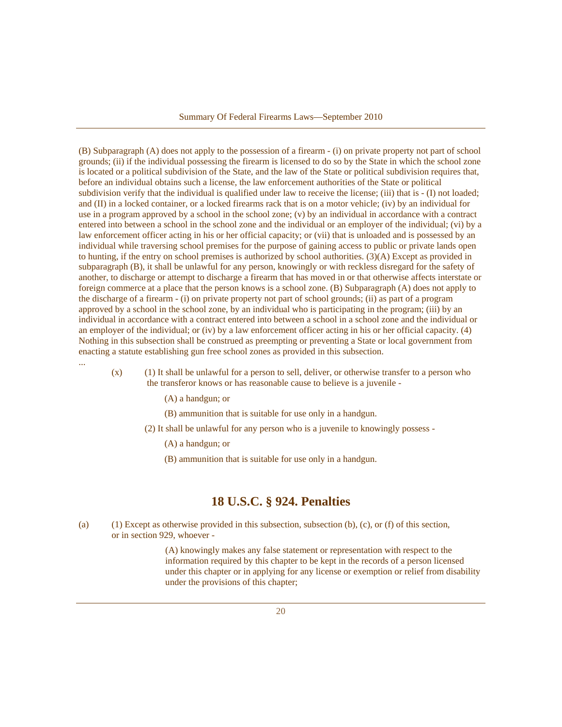grounds; (ii) if the individual possessing the firearm is licensed to do so by the State in which the school zone law enforcement officer acting in his or her official capacity; or (vii) that is unloaded and is possessed by an to hunting, if the entry on school premises is authorized by school authorities. (3)(A) Except as provided in subparagraph (B), it shall be unlawful for any person, knowingly or with reckless disregard for the safety of the discharge of a firearm - (i) on private property not part of school grounds; (ii) as part of a program (B) Subparagraph (A) does not apply to the possession of a firearm - (i) on private property not part of school is located or a political subdivision of the State, and the law of the State or political subdivision requires that, before an individual obtains such a license, the law enforcement authorities of the State or political subdivision verify that the individual is qualified under law to receive the license; (iii) that is  $-$  (I) not loaded; and (II) in a locked container, or a locked firearms rack that is on a motor vehicle; (iv) by an individual for use in a program approved by a school in the school zone; (v) by an individual in accordance with a contract entered into between a school in the school zone and the individual or an employer of the individual; (vi) by a individual while traversing school premises for the purpose of gaining access to public or private lands open another, to discharge or attempt to discharge a firearm that has moved in or that otherwise affects interstate or foreign commerce at a place that the person knows is a school zone. (B) Subparagraph (A) does not apply to approved by a school in the school zone, by an individual who is participating in the program; (iii) by an individual in accordance with a contract entered into between a school in a school zone and the individual or an employer of the individual; or (iv) by a law enforcement officer acting in his or her official capacity. (4) Nothing in this subsection shall be construed as preempting or preventing a State or local government from enacting a statute establishing gun free school zones as provided in this subsection.

...

 $(x)$ 

 the transferor knows or has reasonable cause to believe is a juvenile -  $(1)$  It shall be unlawful for a person to sell, deliver, or otherwise transfer to a person who

(A) a handgun; or

(B) ammunition that is suitable for use only in a handgun.

(2) It shall be unlawful for any person who is a juvenile to knowingly possess -

(A) a handgun; or

(B) ammunition that is suitable for use only in a handgun.

# **18 U.S.C. § 924. Penalties**

(a) (1) Except as otherwise provided in this subsection, subsection (b), (c), or (f) of this section, or in section 929, whoever or in section 929, whoever -

> (A) knowingly makes any false statement or representation with respect to the information required by this chapter to be kept in the records of a person licensed under this chapter or in applying for any license or exemption or relief from disability under the provisions of this chapter;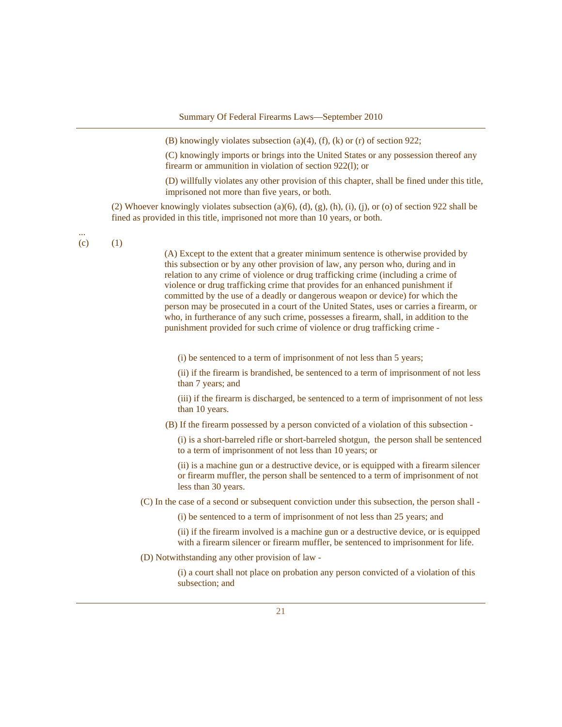(B) knowingly violates subsection (a)(4), (f), (k) or (r) of section 922;

 firearm or ammunition in violation of section 922(l); or (C) knowingly imports or brings into the United States or any possession thereof any

 imprisoned not more than five years, or both. (D) willfully violates any other provision of this chapter, shall be fined under this title,

 (2) Whoever knowingly violates subsection (a)(6), (d), (g), (h), (i), (j), or (o) of section 922 shall be fined as provided in this title, imprisoned not more than 10 years, or both.

...  $(c)$   $(1)$ 

> this subsection or by any other provision of law, any person who, during and in committed by the use of a deadly or dangerous weapon or device) for which the (A) Except to the extent that a greater minimum sentence is otherwise provided by relation to any crime of violence or drug trafficking crime (including a crime of violence or drug trafficking crime that provides for an enhanced punishment if person may be prosecuted in a court of the United States, uses or carries a firearm, or who, in furtherance of any such crime, possesses a firearm, shall, in addition to the punishment provided for such crime of violence or drug trafficking crime -

(i) be sentenced to a term of imprisonment of not less than 5 years;

(ii) if the firearm is brandished, be sentenced to a term of imprisonment of not less than 7 years; and

(iii) if the firearm is discharged, be sentenced to a term of imprisonment of not less than 10 years.

(B) If the firearm possessed by a person convicted of a violation of this subsection -

(i) is a short-barreled rifle or short-barreled shotgun, the person shall be sentenced to a term of imprisonment of not less than 10 years; or

 or firearm muffler, the person shall be sentenced to a term of imprisonment of not (ii) is a machine gun or a destructive device, or is equipped with a firearm silencer less than 30 years.

(C) In the case of a second or subsequent conviction under this subsection, the person shall -

(i) be sentenced to a term of imprisonment of not less than 25 years; and

 with a firearm silencer or firearm muffler, be sentenced to imprisonment for life. (ii) if the firearm involved is a machine gun or a destructive device, or is equipped

(D) Notwithstanding any other provision of law -

(i) a court shall not place on probation any person convicted of a violation of this subsection; and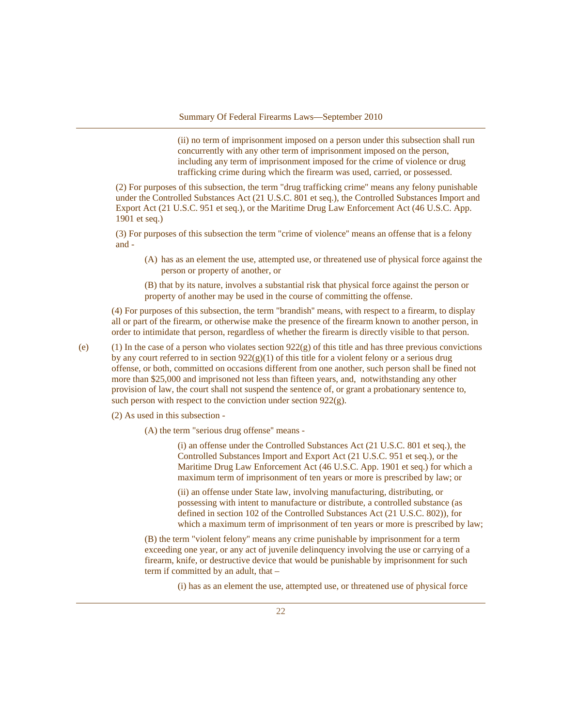including any term of imprisonment imposed for the crime of violence or drug trafficking crime during which the firearm was used, carried, or possessed. (ii) no term of imprisonment imposed on a person under this subsection shall run concurrently with any other term of imprisonment imposed on the person,

 under the Controlled Substances Act (21 U.S.C. 801 et seq.), the Controlled Substances Import and (2) For purposes of this subsection, the term "drug trafficking crime'' means any felony punishable Export Act (21 U.S.C. 951 et seq.), or the Maritime Drug Law Enforcement Act (46 U.S.C. App. 1901 et seq.)

(3) For purposes of this subsection the term "crime of violence'' means an offense that is a felony and -

(A) has as an element the use, attempted use, or threatened use of physical force against the person or property of another, or

(B) that by its nature, involves a substantial risk that physical force against the person or property of another may be used in the course of committing the offense.

(4) For purposes of this subsection, the term "brandish'' means, with respect to a firearm, to display all or part of the firearm, or otherwise make the presence of the firearm known to another person, in order to intimidate that person, regardless of whether the firearm is directly visible to that person.

(e) (1) In the case of a person who violates section  $922(g)$  of this title and has three previous convictions such person with respect to the conviction under section 922(g). by any court referred to in section  $922(g)(1)$  of this title for a violent felony or a serious drug offense, or both, committed on occasions different from one another, such person shall be fined not more than \$25,000 and imprisoned not less than fifteen years, and, notwithstanding any other provision of law, the court shall not suspend the sentence of, or grant a probationary sentence to,

(2) As used in this subsection -

(A) the term "serious drug offense'' means -

 maximum term of imprisonment of ten years or more is prescribed by law; or (i) an offense under the Controlled Substances Act (21 U.S.C. 801 et seq.), the Controlled Substances Import and Export Act (21 U.S.C. 951 et seq.), or the Maritime Drug Law Enforcement Act (46 U.S.C. App. 1901 et seq.) for which a

 defined in section 102 of the Controlled Substances Act (21 U.S.C. 802)), for (ii) an offense under State law, involving manufacturing, distributing, or possessing with intent to manufacture or distribute, a controlled substance (as which a maximum term of imprisonment of ten years or more is prescribed by law;

 firearm, knife, or destructive device that would be punishable by imprisonment for such (B) the term "violent felony'' means any crime punishable by imprisonment for a term exceeding one year, or any act of juvenile delinquency involving the use or carrying of a term if committed by an adult, that –

(i) has as an element the use, attempted use, or threatened use of physical force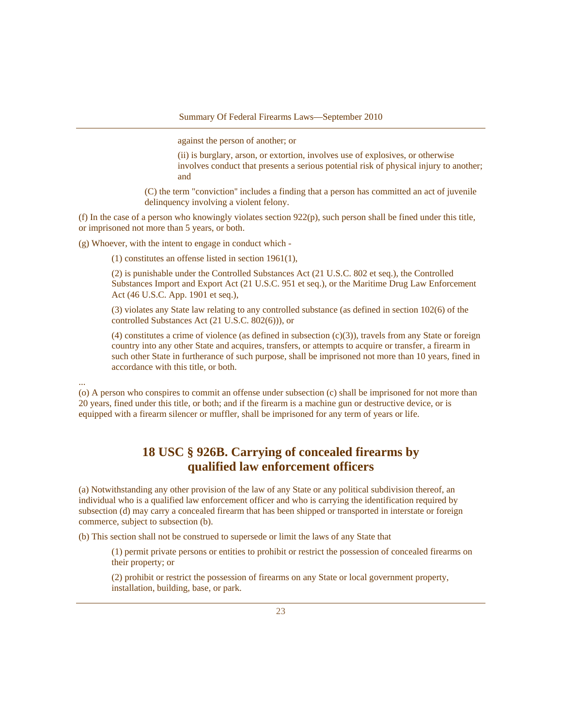against the person of another; or

 (ii) is burglary, arson, or extortion, involves use of explosives, or otherwise involves conduct that presents a serious potential risk of physical injury to another; and

 (C) the term "conviction'' includes a finding that a person has committed an act of juvenile delinquency involving a violent felony.

 (f) In the case of a person who knowingly violates section 922(p), such person shall be fined under this title, or imprisoned not more than 5 years, or both.

(g) Whoever, with the intent to engage in conduct which -

...

(1) constitutes an offense listed in section 1961(1),

(2) is punishable under the Controlled Substances Act (21 U.S.C. 802 et seq.), the Controlled Substances Import and Export Act (21 U.S.C. 951 et seq.), or the Maritime Drug Law Enforcement Act (46 U.S.C. App. 1901 et seq.),

(3) violates any State law relating to any controlled substance (as defined in section 102(6) of the controlled Substances Act (21 U.S.C. 802(6))), or

 $(4)$  constitutes a crime of violence (as defined in subsection  $(c)(3)$ ), travels from any State or foreign country into any other State and acquires, transfers, or attempts to acquire or transfer, a firearm in such other State in furtherance of such purpose, shall be imprisoned not more than 10 years, fined in accordance with this title, or both.

(o) A person who conspires to commit an offense under subsection (c) shall be imprisoned for not more than 20 years, fined under this title, or both; and if the firearm is a machine gun or destructive device, or is equipped with a firearm silencer or muffler, shall be imprisoned for any term of years or life.

# **18 USC § 926B. Carrying of concealed firearms by qualified law enforcement officers**

 individual who is a qualified law enforcement officer and who is carrying the identification required by (a) Notwithstanding any other provision of the law of any State or any political subdivision thereof, an subsection (d) may carry a concealed firearm that has been shipped or transported in interstate or foreign commerce, subject to subsection (b).

(b) This section shall not be construed to supersede or limit the laws of any State that

 their property; or (1) permit private persons or entities to prohibit or restrict the possession of concealed firearms on

 (2) prohibit or restrict the possession of firearms on any State or local government property, installation, building, base, or park.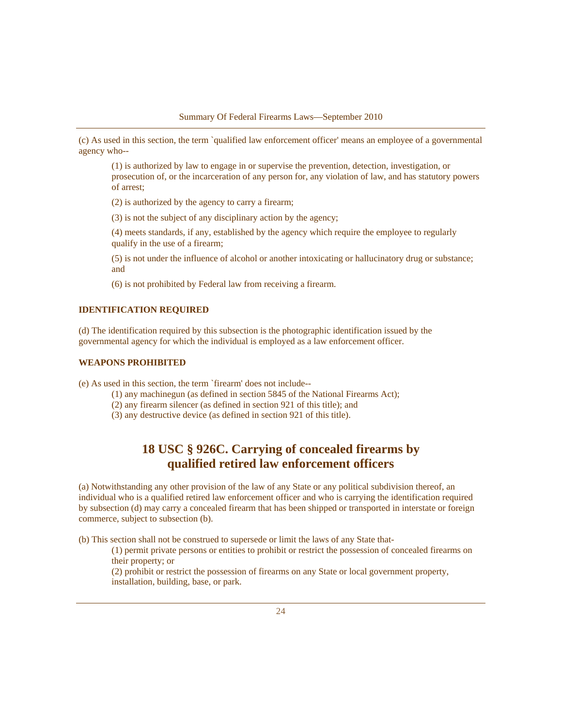(c) As used in this section, the term `qualified law enforcement officer' means an employee of a governmental agency who--

 prosecution of, or the incarceration of any person for, any violation of law, and has statutory powers (1) is authorized by law to engage in or supervise the prevention, detection, investigation, or of arrest;

(2) is authorized by the agency to carry a firearm;

(3) is not the subject of any disciplinary action by the agency;

(4) meets standards, if any, established by the agency which require the employee to regularly qualify in the use of a firearm;

(5) is not under the influence of alcohol or another intoxicating or hallucinatory drug or substance; and

(6) is not prohibited by Federal law from receiving a firearm.

#### **IDENTIFICATION REQUIRED**

(d) The identification required by this subsection is the photographic identification issued by the governmental agency for which the individual is employed as a law enforcement officer.

#### **WEAPONS PROHIBITED**

(e) As used in this section, the term `firearm' does not include--

- (1) any machinegun (as defined in section 5845 of the National Firearms Act);
- (2) any firearm silencer (as defined in section 921 of this title); and
- (3) any destructive device (as defined in section 921 of this title).

# **18 USC § 926C. Carrying of concealed firearms by qualified retired law enforcement officers**

(a) Notwithstanding any other provision of the law of any State or any political subdivision thereof, an individual who is a qualified retired law enforcement officer and who is carrying the identification required by subsection (d) may carry a concealed firearm that has been shipped or transported in interstate or foreign commerce, subject to subsection (b).

(b) This section shall not be construed to supersede or limit the laws of any State that-

 their property; or (1) permit private persons or entities to prohibit or restrict the possession of concealed firearms on

 (2) prohibit or restrict the possession of firearms on any State or local government property, installation, building, base, or park.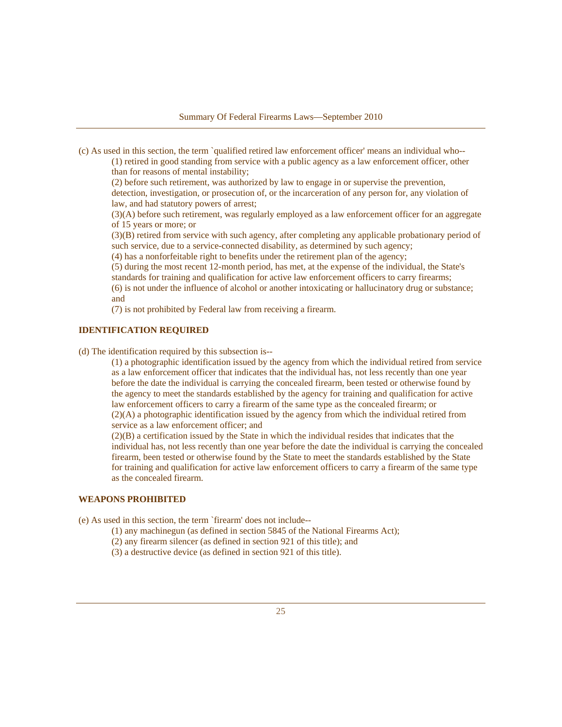(c) As used in this section, the term `qualified retired law enforcement officer' means an individual who-- (1) retired in good standing from service with a public agency as a law enforcement officer, other than for reasons of mental instability;

(2) before such retirement, was authorized by law to engage in or supervise the prevention, detection, investigation, or prosecution of, or the incarceration of any person for, any violation of law, and had statutory powers of arrest;

(3)(A) before such retirement, was regularly employed as a law enforcement officer for an aggregate of 15 years or more; or

 such service, due to a service-connected disability, as determined by such agency; (3)(B) retired from service with such agency, after completing any applicable probationary period of

(4) has a nonforfeitable right to benefits under the retirement plan of the agency;

(5) during the most recent 12-month period, has met, at the expense of the individual, the State's standards for training and qualification for active law enforcement officers to carry firearms; (6) is not under the influence of alcohol or another intoxicating or hallucinatory drug or substance; and

(7) is not prohibited by Federal law from receiving a firearm.

#### **IDENTIFICATION REQUIRED**

(d) The identification required by this subsection is--

 law enforcement officers to carry a firearm of the same type as the concealed firearm; or (2)(A) a photographic identification issued by the agency from which the individual retired from (1) a photographic identification issued by the agency from which the individual retired from service as a law enforcement officer that indicates that the individual has, not less recently than one year before the date the individual is carrying the concealed firearm, been tested or otherwise found by the agency to meet the standards established by the agency for training and qualification for active

service as a law enforcement officer; and

 firearm, been tested or otherwise found by the State to meet the standards established by the State (2)(B) a certification issued by the State in which the individual resides that indicates that the individual has, not less recently than one year before the date the individual is carrying the concealed for training and qualification for active law enforcement officers to carry a firearm of the same type as the concealed firearm.

#### **WEAPONS PROHIBITED**

(e) As used in this section, the term `firearm' does not include--

(1) any machinegun (as defined in section 5845 of the National Firearms Act);

(2) any firearm silencer (as defined in section 921 of this title); and

(3) a destructive device (as defined in section 921 of this title).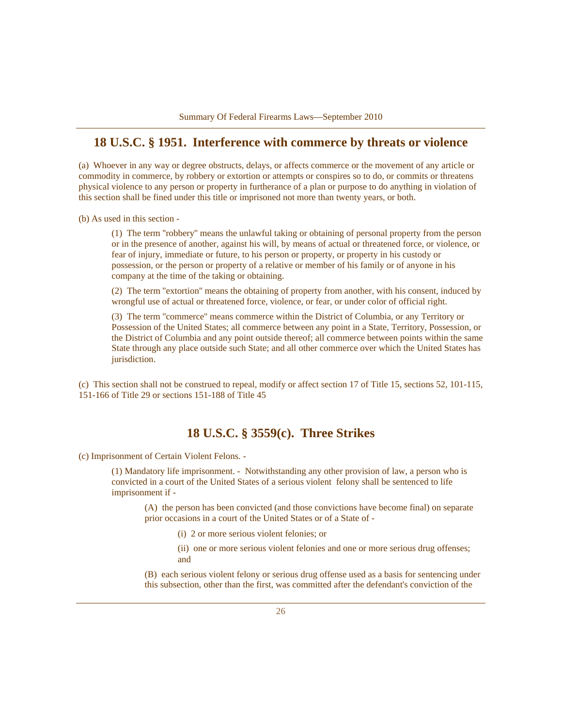# **18 U.S.C. § 1951. Interference with commerce by threats or violence**

 (a) Whoever in any way or degree obstructs, delays, or affects commerce or the movement of any article or commodity in commerce, by robbery or extortion or attempts or conspires so to do, or commits or threatens physical violence to any person or property in furtherance of a plan or purpose to do anything in violation of this section shall be fined under this title or imprisoned not more than twenty years, or both.

(b) As used in this section -

 (1) The term ''robbery'' means the unlawful taking or obtaining of personal property from the person or in the presence of another, against his will, by means of actual or threatened force, or violence, or fear of injury, immediate or future, to his person or property, or property in his custody or possession, or the person or property of a relative or member of his family or of anyone in his company at the time of the taking or obtaining.

 (2) The term ''extortion'' means the obtaining of property from another, with his consent, induced by wrongful use of actual or threatened force, violence, or fear, or under color of official right.

 (3) The term ''commerce'' means commerce within the District of Columbia, or any Territory or jurisdiction. Possession of the United States; all commerce between any point in a State, Territory, Possession, or the District of Columbia and any point outside thereof; all commerce between points within the same State through any place outside such State; and all other commerce over which the United States has

 jurisdiction. (c) This section shall not be construed to repeal, modify or affect section 17 of Title 15, sections 52, 101-115, 151-166 of Title 29 or sections 151-188 of Title 45

# **18 U.S.C. § 3559(c). Three Strikes**

(c) Imprisonment of Certain Violent Felons. -

 (1) Mandatory life imprisonment. - Notwithstanding any other provision of law, a person who is convicted in a court of the United States of a serious violent felony shall be sentenced to life imprisonment if -

(A) the person has been convicted (and those convictions have become final) on separate prior occasions in a court of the United States or of a State of -

- (i) 2 or more serious violent felonies; or
- (ii) one or more serious violent felonies and one or more serious drug offenses; and

(B) each serious violent felony or serious drug offense used as a basis for sentencing under this subsection, other than the first, was committed after the defendant's conviction of the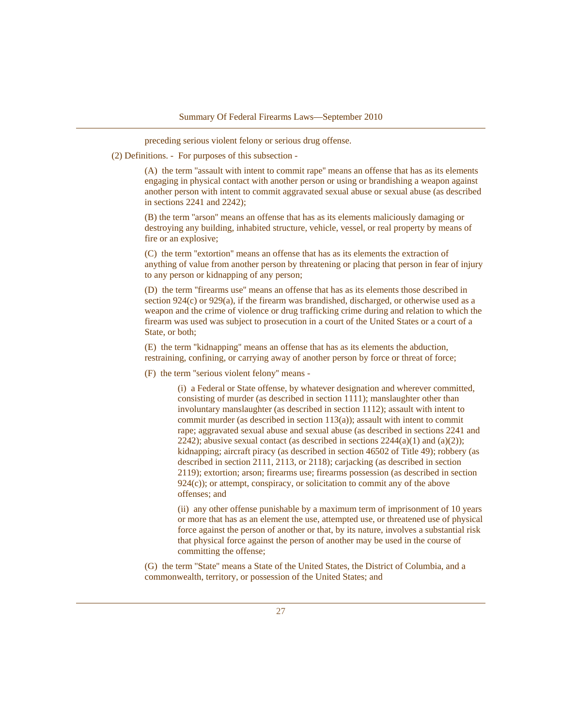preceding serious violent felony or serious drug offense.

(2) Definitions. - For purposes of this subsection -

 engaging in physical contact with another person or using or brandishing a weapon against (A) the term ''assault with intent to commit rape'' means an offense that has as its elements another person with intent to commit aggravated sexual abuse or sexual abuse (as described in sections 2241 and 2242);

(B) the term ''arson'' means an offense that has as its elements maliciously damaging or destroying any building, inhabited structure, vehicle, vessel, or real property by means of fire or an explosive;

 (C) the term ''extortion'' means an offense that has as its elements the extraction of anything of value from another person by threatening or placing that person in fear of injury to any person or kidnapping of any person;

 (D) the term ''firearms use'' means an offense that has as its elements those described in State, or both: section 924(c) or 929(a), if the firearm was brandished, discharged, or otherwise used as a weapon and the crime of violence or drug trafficking crime during and relation to which the firearm was used was subject to prosecution in a court of the United States or a court of a

restraining, confining, or carrying away of another person by force or threat of force;<br>(F) the term "serious violent felony" means -(E) the term "kidnapping" means an offense that has as its elements the abduction,

(F) the term "serious violent felony" means -

 consisting of murder (as described in section 1111); manslaughter other than involuntary manslaughter (as described in section 1112); assault with intent to described in section 2111, 2113, or 2118); carjacking (as described in section (i) a Federal or State offense, by whatever designation and wherever committed, commit murder (as described in section 113(a)); assault with intent to commit rape; aggravated sexual abuse and sexual abuse (as described in sections 2241 and 2242); abusive sexual contact (as described in sections  $2244(a)(1)$  and  $(a)(2)$ ); kidnapping; aircraft piracy (as described in section 46502 of Title 49); robbery (as 2119); extortion; arson; firearms use; firearms possession (as described in section  $924(c)$ ; or attempt, conspiracy, or solicitation to commit any of the above offenses; and

 or more that has as an element the use, attempted use, or threatened use of physical (ii) any other offense punishable by a maximum term of imprisonment of 10 years force against the person of another or that, by its nature, involves a substantial risk that physical force against the person of another may be used in the course of committing the offense;

commonwealth, territory, or possession of the United States; and<br>
27 (G) the term ''State'' means a State of the United States, the District of Columbia, and a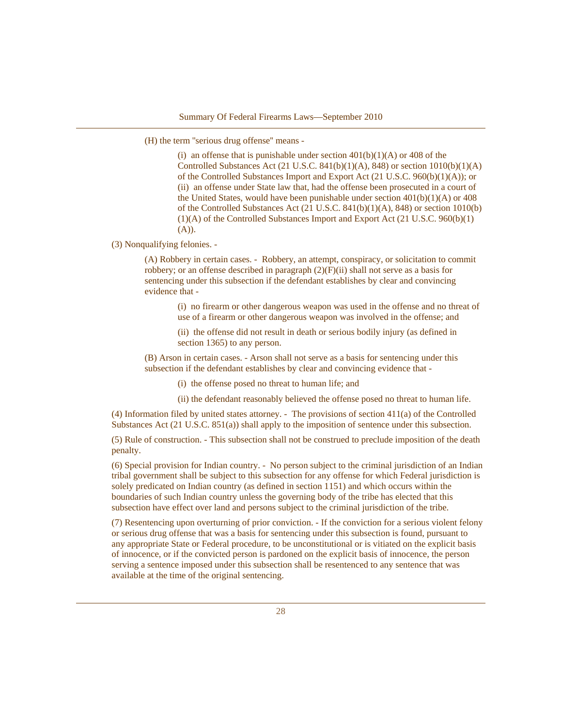(H) the term ''serious drug offense'' means -

of the Controlled Substances Import and Export Act (21 U.S.C. 960(b)(1)(A)); or (1)(A) of the Controlled Substances Import and Export Act (21 U.S.C. 960(b)(1)  $(A)).$ (i) an offense that is punishable under section  $401(b)(1)(A)$  or  $408$  of the Controlled Substances Act (21 U.S.C. 841(b)(1)(A), 848) or section  $1010(b)(1)(A)$ (ii) an offense under State law that, had the offense been prosecuted in a court of the United States, would have been punishable under section  $401(b)(1)(A)$  or  $408$ of the Controlled Substances Act (21 U.S.C. 841(b)(1)(A), 848) or section 1010(b)

(3) Nonqualifying felonies. -

 sentencing under this subsection if the defendant establishes by clear and convincing (A) Robbery in certain cases. - Robbery, an attempt, conspiracy, or solicitation to commit robbery; or an offense described in paragraph (2)(F)(ii) shall not serve as a basis for evidence that -

> (i) no firearm or other dangerous weapon was used in the offense and no threat of use of a firearm or other dangerous weapon was involved in the offense; and

 (ii) the offense did not result in death or serious bodily injury (as defined in section 1365) to any person.

(B) Arson in certain cases. - Arson shall not serve as a basis for sentencing under this subsection if the defendant establishes by clear and convincing evidence that -

(i) the offense posed no threat to human life; and

(ii) the defendant reasonably believed the offense posed no threat to human life.

(4) Information filed by united states attorney. - The provisions of section 411(a) of the Controlled Substances Act (21 U.S.C. 851(a)) shall apply to the imposition of sentence under this subsection.

(5) Rule of construction. - This subsection shall not be construed to preclude imposition of the death penalty.

 solely predicated on Indian country (as defined in section 1151) and which occurs within the subsection have effect over land and persons subject to the criminal jurisdiction of the tribe. (6) Special provision for Indian country. - No person subject to the criminal jurisdiction of an Indian tribal government shall be subject to this subsection for any offense for which Federal jurisdiction is boundaries of such Indian country unless the governing body of the tribe has elected that this

 or serious drug offense that was a basis for sentencing under this subsection is found, pursuant to any appropriate State or Federal procedure, to be unconstitutional or is vitiated on the explicit basis (7) Resentencing upon overturning of prior conviction. - If the conviction for a serious violent felony of innocence, or if the convicted person is pardoned on the explicit basis of innocence, the person serving a sentence imposed under this subsection shall be resentenced to any sentence that was available at the time of the original sentencing.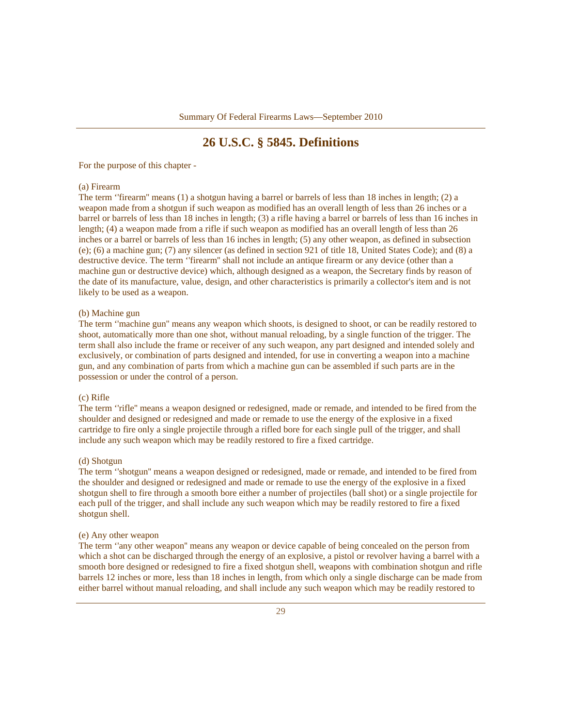# **26 U.S.C. § 5845. Definitions**

For the purpose of this chapter -

#### (a) Firearm

 The term ''firearm'' means (1) a shotgun having a barrel or barrels of less than 18 inches in length; (2) a barrel or barrels of less than 18 inches in length; (3) a rifle having a barrel or barrels of less than 16 inches in length; (4) a weapon made from a rifle if such weapon as modified has an overall length of less than 26 inches or a barrel or barrels of less than 16 inches in length; (5) any other weapon, as defined in subsection (e); (6) a machine gun; (7) any silencer (as defined in section 921 of title 18, United States Code); and (8) a machine gun or destructive device) which, although designed as a weapon, the Secretary finds by reason of the date of its manufacture, value, design, and other characteristics is primarily a collector's item and is not weapon made from a shotgun if such weapon as modified has an overall length of less than 26 inches or a destructive device. The term ''firearm'' shall not include an antique firearm or any device (other than a likely to be used as a weapon.

#### (b) Machine gun

 exclusively, or combination of parts designed and intended, for use in converting a weapon into a machine The term ''machine gun'' means any weapon which shoots, is designed to shoot, or can be readily restored to shoot, automatically more than one shot, without manual reloading, by a single function of the trigger. The term shall also include the frame or receiver of any such weapon, any part designed and intended solely and gun, and any combination of parts from which a machine gun can be assembled if such parts are in the possession or under the control of a person.

#### (c) Rifle

 include any such weapon which may be readily restored to fire a fixed cartridge. (d) Shotgun The term ''rifle'' means a weapon designed or redesigned, made or remade, and intended to be fired from the shoulder and designed or redesigned and made or remade to use the energy of the explosive in a fixed cartridge to fire only a single projectile through a rifled bore for each single pull of the trigger, and shall

The term ''shotgun'' means a weapon designed or redesigned, made or remade, and intended to be fired from the shoulder and designed or redesigned and made or remade to use the energy of the explosive in a fixed shotgun shell to fire through a smooth bore either a number of projectiles (ball shot) or a single projectile for each pull of the trigger, and shall include any such weapon which may be readily restored to fire a fixed shotgun shell.

#### (e) Any other weapon

 which a shot can be discharged through the energy of an explosive, a pistol or revolver having a barrel with a smooth bore designed or redesigned to fire a fixed shotgun shell, weapons with combination shotgun and rifle The term ''any other weapon'' means any weapon or device capable of being concealed on the person from barrels 12 inches or more, less than 18 inches in length, from which only a single discharge can be made from either barrel without manual reloading, and shall include any such weapon which may be readily restored to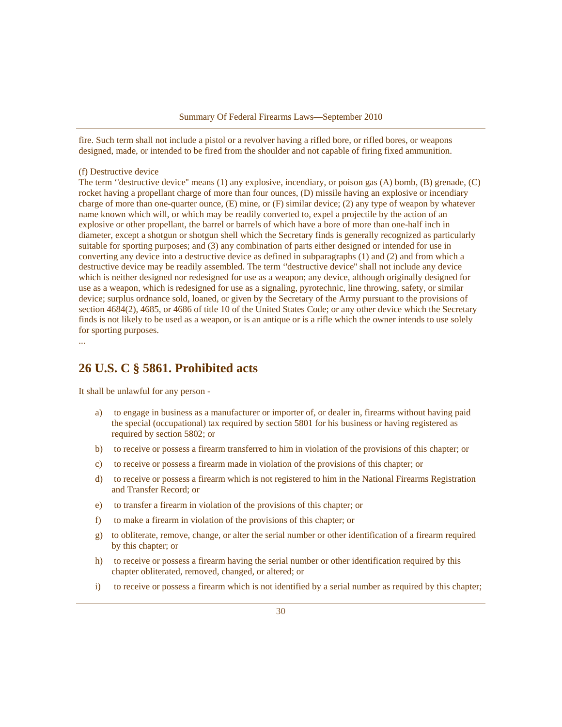Summary Of Federal Firearms Laws—September 2010

fire. Such term shall not include a pistol or a revolver having a rifled bore, or rifled bores, or weapons designed, made, or intended to be fired from the shoulder and not capable of firing fixed ammunition.

#### (f) Destructive device

 rocket having a propellant charge of more than four ounces, (D) missile having an explosive or incendiary name known which will, or which may be readily converted to, expel a projectile by the action of an explosive or other propellant, the barrel or barrels of which have a bore of more than one-half inch in destructive device may be readily assembled. The term ''destructive device'' shall not include any device which is neither designed nor redesigned for use as a weapon; any device, although originally designed for finds is not likely to be used as a weapon, or is an antique or is a rifle which the owner intends to use solely The term ''destructive device'' means (1) any explosive, incendiary, or poison gas (A) bomb, (B) grenade, (C) charge of more than one-quarter ounce, (E) mine, or (F) similar device; (2) any type of weapon by whatever diameter, except a shotgun or shotgun shell which the Secretary finds is generally recognized as particularly suitable for sporting purposes; and (3) any combination of parts either designed or intended for use in converting any device into a destructive device as defined in subparagraphs (1) and (2) and from which a use as a weapon, which is redesigned for use as a signaling, pyrotechnic, line throwing, safety, or similar device; surplus ordnance sold, loaned, or given by the Secretary of the Army pursuant to the provisions of section 4684(2), 4685, or 4686 of title 10 of the United States Code; or any other device which the Secretary for sporting purposes.

...

# **26 U.S. C § 5861. Prohibited acts**

It shall be unlawful for any person -

- a) to engage in business as a manufacturer or importer of, or dealer in, firearms without having paid the special (occupational) tax required by section 5801 for his business or having registered as required by section 5802; or
- b) to receive or possess a firearm transferred to him in violation of the provisions of this chapter; or
- c) to receive or possess a firearm made in violation of the provisions of this chapter; or
- d) to receive or possess a firearm which is not registered to him in the National Firearms Registration and Transfer Record; or
- e) to transfer a firearm in violation of the provisions of this chapter; or
- f) to make a firearm in violation of the provisions of this chapter; or
- g) to obliterate, remove, change, or alter the serial number or other identification of a firearm required by this chapter; or
- chapter obliterated, removed, changed, or altered; or h) to receive or possess a firearm having the serial number or other identification required by this
- i) to receive or possess a firearm which is not identified by a serial number as required by this chapter;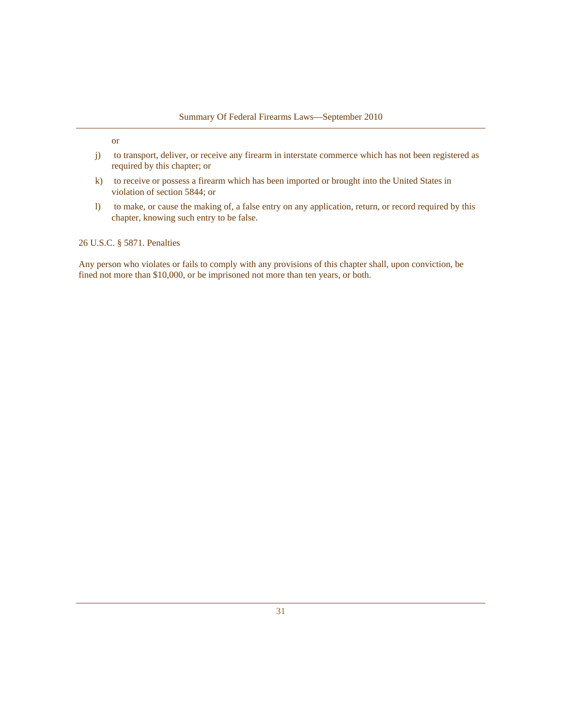or

- j) to transport, deliver, or receive any firearm in interstate commerce which has not been registered as required by this chapter; or
- k) to receive or possess a firearm which has been imported or brought into the United States in violation of section 5844; or
- l) to make, or cause the making of, a false entry on any application, return, or record required by this chapter, knowing such entry to be false.

26 U.S.C. § 5871. Penalties

 Any person who violates or fails to comply with any provisions of this chapter shall, upon conviction, be fined not more than \$10,000, or be imprisoned not more than ten years, or both.